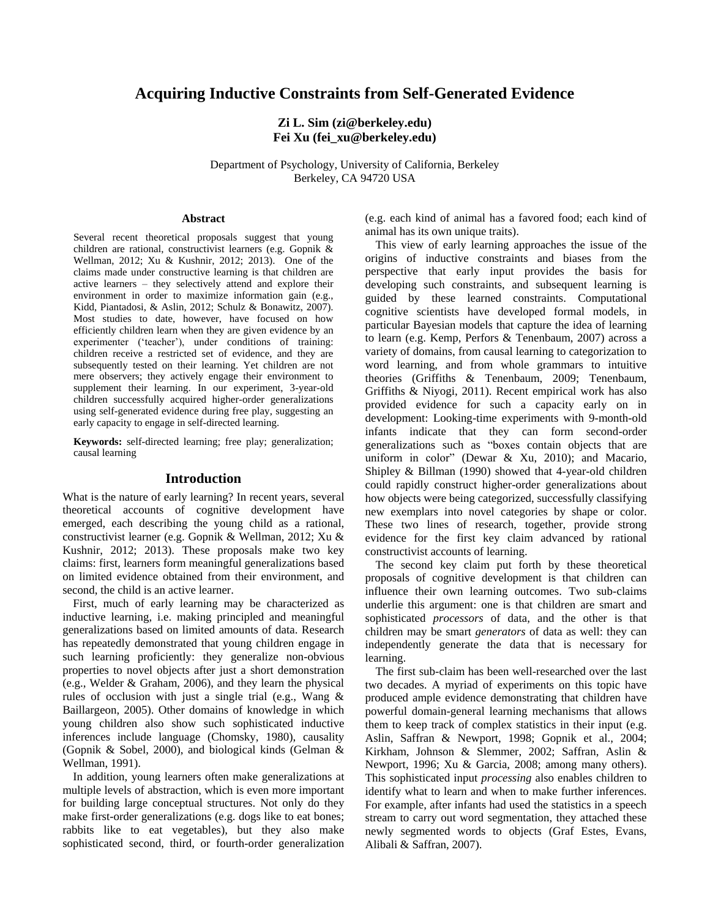# **Acquiring Inductive Constraints from Self-Generated Evidence**

# **Zi L. Sim (zi@berkeley.edu) Fei Xu (fei\_xu@berkeley.edu)**

Department of Psychology, University of California, Berkeley Berkeley, CA 94720 USA

#### **Abstract**

Several recent theoretical proposals suggest that young children are rational, constructivist learners (e.g. Gopnik & Wellman, 2012; Xu & Kushnir, 2012; 2013). One of the claims made under constructive learning is that children are active learners – they selectively attend and explore their environment in order to maximize information gain (e.g., Kidd, Piantadosi, & Aslin, 2012; Schulz & Bonawitz, 2007). Most studies to date, however, have focused on how efficiently children learn when they are given evidence by an experimenter ('teacher'), under conditions of training: children receive a restricted set of evidence, and they are subsequently tested on their learning. Yet children are not mere observers; they actively engage their environment to supplement their learning. In our experiment, 3-year-old children successfully acquired higher-order generalizations using self-generated evidence during free play, suggesting an early capacity to engage in self-directed learning.

**Keywords:** self-directed learning; free play; generalization; causal learning

### **Introduction**

What is the nature of early learning? In recent years, several theoretical accounts of cognitive development have emerged, each describing the young child as a rational, constructivist learner (e.g. Gopnik & Wellman, 2012; Xu & Kushnir, 2012; 2013). These proposals make two key claims: first, learners form meaningful generalizations based on limited evidence obtained from their environment, and second, the child is an active learner.

First, much of early learning may be characterized as inductive learning, i.e. making principled and meaningful generalizations based on limited amounts of data. Research has repeatedly demonstrated that young children engage in such learning proficiently: they generalize non-obvious properties to novel objects after just a short demonstration (e.g., Welder & Graham, 2006), and they learn the physical rules of occlusion with just a single trial (e.g., Wang & Baillargeon, 2005). Other domains of knowledge in which young children also show such sophisticated inductive inferences include language (Chomsky, 1980), causality (Gopnik & Sobel, 2000), and biological kinds (Gelman & Wellman, 1991).

In addition, young learners often make generalizations at multiple levels of abstraction, which is even more important for building large conceptual structures. Not only do they make first-order generalizations (e.g. dogs like to eat bones; rabbits like to eat vegetables), but they also make sophisticated second, third, or fourth-order generalization

(e.g. each kind of animal has a favored food; each kind of animal has its own unique traits).

This view of early learning approaches the issue of the origins of inductive constraints and biases from the perspective that early input provides the basis for developing such constraints, and subsequent learning is guided by these learned constraints. Computational cognitive scientists have developed formal models, in particular Bayesian models that capture the idea of learning to learn (e.g. Kemp, Perfors & Tenenbaum, 2007) across a variety of domains, from causal learning to categorization to word learning, and from whole grammars to intuitive theories (Griffiths & Tenenbaum, 2009; Tenenbaum, Griffiths & Niyogi, 2011). Recent empirical work has also provided evidence for such a capacity early on in development: Looking-time experiments with 9-month-old infants indicate that they can form second-order generalizations such as "boxes contain objects that are uniform in color" (Dewar & Xu, 2010); and Macario, Shipley & Billman (1990) showed that 4-year-old children could rapidly construct higher-order generalizations about how objects were being categorized, successfully classifying new exemplars into novel categories by shape or color. These two lines of research, together, provide strong evidence for the first key claim advanced by rational constructivist accounts of learning.

The second key claim put forth by these theoretical proposals of cognitive development is that children can influence their own learning outcomes. Two sub-claims underlie this argument: one is that children are smart and sophisticated *processors* of data, and the other is that children may be smart *generators* of data as well: they can independently generate the data that is necessary for learning.

The first sub-claim has been well-researched over the last two decades. A myriad of experiments on this topic have produced ample evidence demonstrating that children have powerful domain-general learning mechanisms that allows them to keep track of complex statistics in their input (e.g. Aslin, Saffran & Newport, 1998; Gopnik et al., 2004; Kirkham, Johnson & Slemmer, 2002; Saffran, Aslin & Newport, 1996; Xu & Garcia, 2008; among many others). This sophisticated input *processing* also enables children to identify what to learn and when to make further inferences. For example, after infants had used the statistics in a speech stream to carry out word segmentation, they attached these newly segmented words to objects (Graf Estes, Evans, Alibali & Saffran, 2007).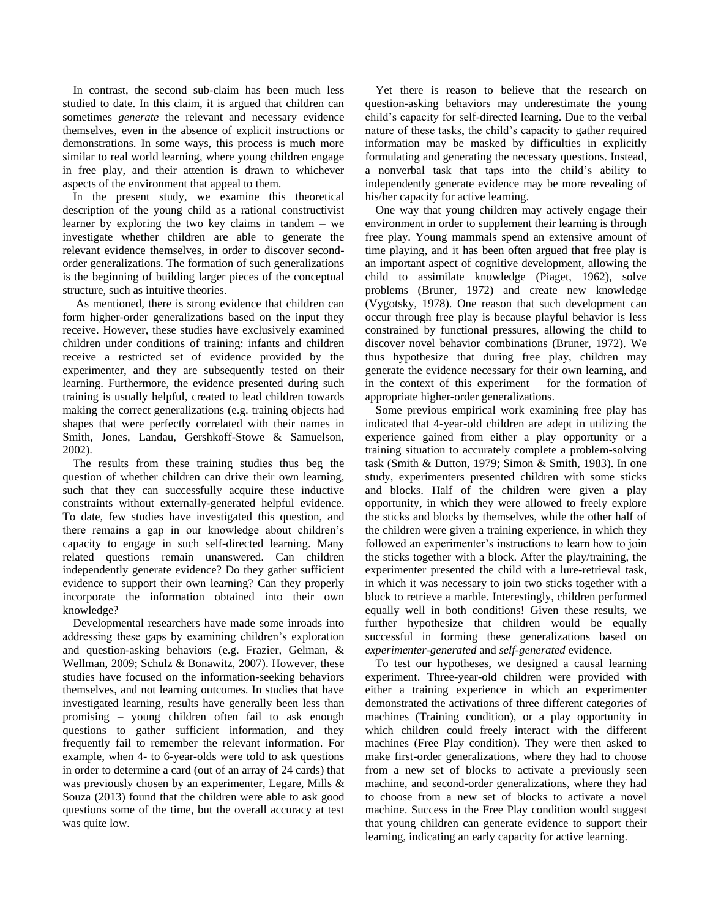In contrast, the second sub-claim has been much less studied to date. In this claim, it is argued that children can sometimes *generate* the relevant and necessary evidence themselves, even in the absence of explicit instructions or demonstrations. In some ways, this process is much more similar to real world learning, where young children engage in free play, and their attention is drawn to whichever aspects of the environment that appeal to them.

In the present study, we examine this theoretical description of the young child as a rational constructivist learner by exploring the two key claims in tandem – we investigate whether children are able to generate the relevant evidence themselves, in order to discover secondorder generalizations. The formation of such generalizations is the beginning of building larger pieces of the conceptual structure, such as intuitive theories.

As mentioned, there is strong evidence that children can form higher-order generalizations based on the input they receive. However, these studies have exclusively examined children under conditions of training: infants and children receive a restricted set of evidence provided by the experimenter, and they are subsequently tested on their learning. Furthermore, the evidence presented during such training is usually helpful, created to lead children towards making the correct generalizations (e.g. training objects had shapes that were perfectly correlated with their names in Smith, Jones, Landau, Gershkoff-Stowe & Samuelson, 2002).

The results from these training studies thus beg the question of whether children can drive their own learning, such that they can successfully acquire these inductive constraints without externally-generated helpful evidence. To date, few studies have investigated this question, and there remains a gap in our knowledge about children's capacity to engage in such self-directed learning. Many related questions remain unanswered. Can children independently generate evidence? Do they gather sufficient evidence to support their own learning? Can they properly incorporate the information obtained into their own knowledge?

Developmental researchers have made some inroads into addressing these gaps by examining children's exploration and question-asking behaviors (e.g. Frazier, Gelman, & Wellman, 2009; Schulz & Bonawitz, 2007). However, these studies have focused on the information-seeking behaviors themselves, and not learning outcomes. In studies that have investigated learning, results have generally been less than promising – young children often fail to ask enough questions to gather sufficient information, and they frequently fail to remember the relevant information. For example, when 4- to 6-year-olds were told to ask questions in order to determine a card (out of an array of 24 cards) that was previously chosen by an experimenter, Legare, Mills & Souza (2013) found that the children were able to ask good questions some of the time, but the overall accuracy at test was quite low.

Yet there is reason to believe that the research on question-asking behaviors may underestimate the young child's capacity for self-directed learning. Due to the verbal nature of these tasks, the child's capacity to gather required information may be masked by difficulties in explicitly formulating and generating the necessary questions. Instead, a nonverbal task that taps into the child's ability to independently generate evidence may be more revealing of his/her capacity for active learning.

One way that young children may actively engage their environment in order to supplement their learning is through free play. Young mammals spend an extensive amount of time playing, and it has been often argued that free play is an important aspect of cognitive development, allowing the child to assimilate knowledge (Piaget, 1962), solve problems (Bruner, 1972) and create new knowledge (Vygotsky, 1978). One reason that such development can occur through free play is because playful behavior is less constrained by functional pressures, allowing the child to discover novel behavior combinations (Bruner, 1972). We thus hypothesize that during free play, children may generate the evidence necessary for their own learning, and in the context of this experiment – for the formation of appropriate higher-order generalizations.

Some previous empirical work examining free play has indicated that 4-year-old children are adept in utilizing the experience gained from either a play opportunity or a training situation to accurately complete a problem-solving task (Smith & Dutton, 1979; Simon & Smith, 1983). In one study, experimenters presented children with some sticks and blocks. Half of the children were given a play opportunity, in which they were allowed to freely explore the sticks and blocks by themselves, while the other half of the children were given a training experience, in which they followed an experimenter's instructions to learn how to join the sticks together with a block. After the play/training, the experimenter presented the child with a lure-retrieval task, in which it was necessary to join two sticks together with a block to retrieve a marble. Interestingly, children performed equally well in both conditions! Given these results, we further hypothesize that children would be equally successful in forming these generalizations based on *experimenter-generated* and *self-generated* evidence.

To test our hypotheses, we designed a causal learning experiment. Three-year-old children were provided with either a training experience in which an experimenter demonstrated the activations of three different categories of machines (Training condition), or a play opportunity in which children could freely interact with the different machines (Free Play condition). They were then asked to make first-order generalizations, where they had to choose from a new set of blocks to activate a previously seen machine, and second-order generalizations, where they had to choose from a new set of blocks to activate a novel machine. Success in the Free Play condition would suggest that young children can generate evidence to support their learning, indicating an early capacity for active learning.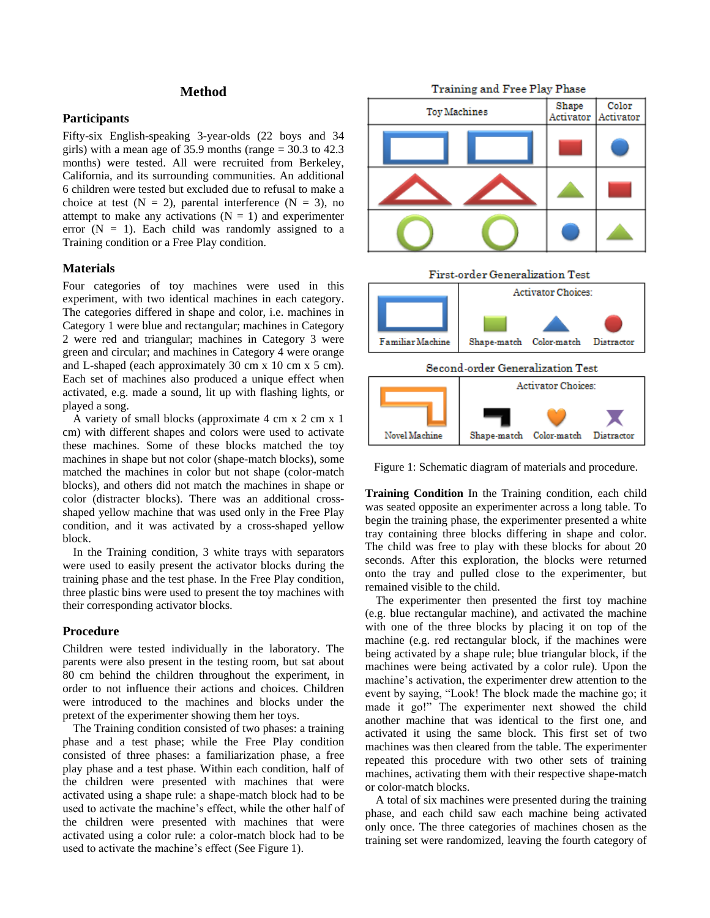# **Method**

### **Participants**

Fifty-six English-speaking 3-year-olds (22 boys and 34 girls) with a mean age of 35.9 months (range = 30.3 to 42.3 months) were tested. All were recruited from Berkeley, California, and its surrounding communities. An additional 6 children were tested but excluded due to refusal to make a choice at test  $(N = 2)$ , parental interference  $(N = 3)$ , no attempt to make any activations  $(N = 1)$  and experimenter error  $(N = 1)$ . Each child was randomly assigned to a Training condition or a Free Play condition.

#### **Materials**

Four categories of toy machines were used in this experiment, with two identical machines in each category. The categories differed in shape and color, i.e. machines in Category 1 were blue and rectangular; machines in Category 2 were red and triangular; machines in Category 3 were green and circular; and machines in Category 4 were orange and L-shaped (each approximately 30 cm x 10 cm x 5 cm). Each set of machines also produced a unique effect when activated, e.g. made a sound, lit up with flashing lights, or played a song.

A variety of small blocks (approximate 4 cm x 2 cm x 1 cm) with different shapes and colors were used to activate these machines. Some of these blocks matched the toy machines in shape but not color (shape-match blocks), some matched the machines in color but not shape (color-match blocks), and others did not match the machines in shape or color (distracter blocks). There was an additional crossshaped yellow machine that was used only in the Free Play condition, and it was activated by a cross-shaped yellow block.

In the Training condition, 3 white trays with separators were used to easily present the activator blocks during the training phase and the test phase. In the Free Play condition, three plastic bins were used to present the toy machines with their corresponding activator blocks.

# **Procedure**

Children were tested individually in the laboratory. The parents were also present in the testing room, but sat about 80 cm behind the children throughout the experiment, in order to not influence their actions and choices. Children were introduced to the machines and blocks under the pretext of the experimenter showing them her toys.

The Training condition consisted of two phases: a training phase and a test phase; while the Free Play condition consisted of three phases: a familiarization phase, a free play phase and a test phase. Within each condition, half of the children were presented with machines that were activated using a shape rule: a shape-match block had to be used to activate the machine's effect, while the other half of the children were presented with machines that were activated using a color rule: a color-match block had to be used to activate the machine's effect (See Figure 1).

Training and Free Play Phase



Figure 1: Schematic diagram of materials and procedure.

**Training Condition** In the Training condition, each child was seated opposite an experimenter across a long table. To begin the training phase, the experimenter presented a white tray containing three blocks differing in shape and color. The child was free to play with these blocks for about 20 seconds. After this exploration, the blocks were returned onto the tray and pulled close to the experimenter, but remained visible to the child.

The experimenter then presented the first toy machine (e.g. blue rectangular machine), and activated the machine with one of the three blocks by placing it on top of the machine (e.g. red rectangular block, if the machines were being activated by a shape rule; blue triangular block, if the machines were being activated by a color rule). Upon the machine's activation, the experimenter drew attention to the event by saying, "Look! The block made the machine go; it made it go!" The experimenter next showed the child another machine that was identical to the first one, and activated it using the same block. This first set of two machines was then cleared from the table. The experimenter repeated this procedure with two other sets of training machines, activating them with their respective shape-match or color-match blocks.

A total of six machines were presented during the training phase, and each child saw each machine being activated only once. The three categories of machines chosen as the training set were randomized, leaving the fourth category of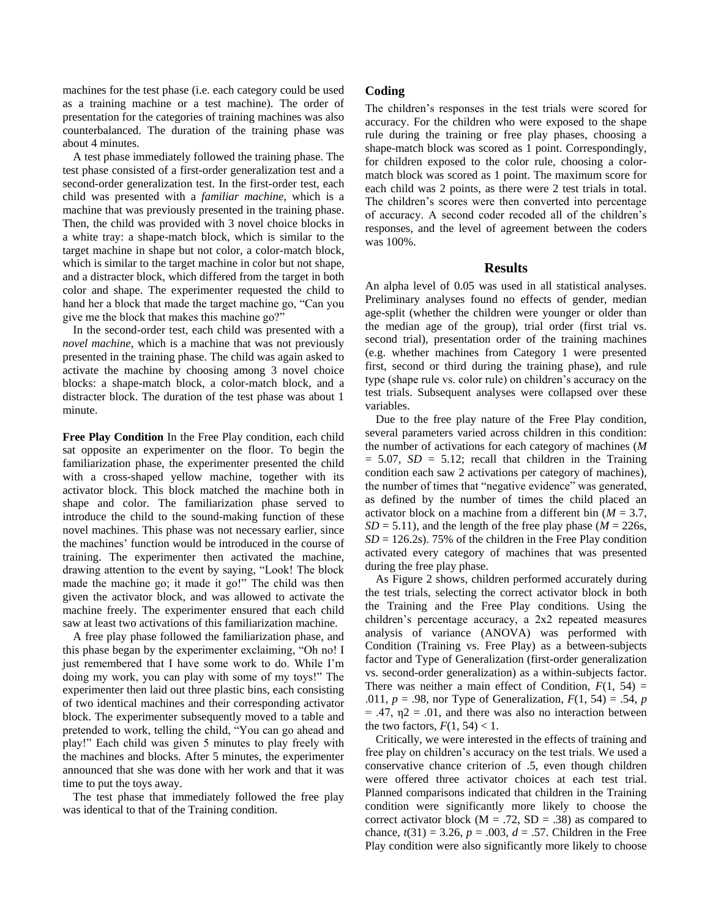machines for the test phase (i.e. each category could be used as a training machine or a test machine). The order of presentation for the categories of training machines was also counterbalanced. The duration of the training phase was about 4 minutes.

A test phase immediately followed the training phase. The test phase consisted of a first-order generalization test and a second-order generalization test. In the first-order test, each child was presented with a *familiar machine*, which is a machine that was previously presented in the training phase. Then, the child was provided with 3 novel choice blocks in a white tray: a shape-match block, which is similar to the target machine in shape but not color, a color-match block, which is similar to the target machine in color but not shape, and a distracter block, which differed from the target in both color and shape. The experimenter requested the child to hand her a block that made the target machine go, "Can you give me the block that makes this machine go?"

In the second-order test, each child was presented with a *novel machine*, which is a machine that was not previously presented in the training phase. The child was again asked to activate the machine by choosing among 3 novel choice blocks: a shape-match block, a color-match block, and a distracter block. The duration of the test phase was about 1 minute.

**Free Play Condition** In the Free Play condition, each child sat opposite an experimenter on the floor. To begin the familiarization phase, the experimenter presented the child with a cross-shaped yellow machine, together with its activator block. This block matched the machine both in shape and color. The familiarization phase served to introduce the child to the sound-making function of these novel machines. This phase was not necessary earlier, since the machines' function would be introduced in the course of training. The experimenter then activated the machine, drawing attention to the event by saying, "Look! The block made the machine go; it made it go!" The child was then given the activator block, and was allowed to activate the machine freely. The experimenter ensured that each child saw at least two activations of this familiarization machine.

A free play phase followed the familiarization phase, and this phase began by the experimenter exclaiming, "Oh no! I just remembered that I have some work to do. While I'm doing my work, you can play with some of my toys!" The experimenter then laid out three plastic bins, each consisting of two identical machines and their corresponding activator block. The experimenter subsequently moved to a table and pretended to work, telling the child, "You can go ahead and play!" Each child was given 5 minutes to play freely with the machines and blocks. After 5 minutes, the experimenter announced that she was done with her work and that it was time to put the toys away.

The test phase that immediately followed the free play was identical to that of the Training condition.

# **Coding**

The children's responses in the test trials were scored for accuracy. For the children who were exposed to the shape rule during the training or free play phases, choosing a shape-match block was scored as 1 point. Correspondingly, for children exposed to the color rule, choosing a colormatch block was scored as 1 point. The maximum score for each child was 2 points, as there were 2 test trials in total. The children's scores were then converted into percentage of accuracy. A second coder recoded all of the children's responses, and the level of agreement between the coders was 100%.

### **Results**

An alpha level of 0.05 was used in all statistical analyses. Preliminary analyses found no effects of gender, median age-split (whether the children were younger or older than the median age of the group), trial order (first trial vs. second trial), presentation order of the training machines (e.g. whether machines from Category 1 were presented first, second or third during the training phase), and rule type (shape rule vs. color rule) on children's accuracy on the test trials. Subsequent analyses were collapsed over these variables.

Due to the free play nature of the Free Play condition, several parameters varied across children in this condition: the number of activations for each category of machines (*M*  $= 5.07$ ,  $SD = 5.12$ ; recall that children in the Training condition each saw 2 activations per category of machines), the number of times that "negative evidence" was generated, as defined by the number of times the child placed an activator block on a machine from a different bin (*M* = 3.7,  $SD = 5.11$ ), and the length of the free play phase ( $M = 226$ s,  $SD = 126.2$ s). 75% of the children in the Free Play condition activated every category of machines that was presented during the free play phase.

As Figure 2 shows, children performed accurately during the test trials, selecting the correct activator block in both the Training and the Free Play conditions. Using the children's percentage accuracy, a 2x2 repeated measures analysis of variance (ANOVA) was performed with Condition (Training vs. Free Play) as a between-subjects factor and Type of Generalization (first-order generalization vs. second-order generalization) as a within-subjects factor. There was neither a main effect of Condition,  $F(1, 54) =$ .011, *p* = .98, nor Type of Generalization, *F*(1, 54) = .54, *p*  $= .47, \eta$  = .01, and there was also no interaction between the two factors,  $F(1, 54) < 1$ .

Critically, we were interested in the effects of training and free play on children's accuracy on the test trials. We used a conservative chance criterion of .5, even though children were offered three activator choices at each test trial. Planned comparisons indicated that children in the Training condition were significantly more likely to choose the correct activator block ( $M = .72$ ,  $SD = .38$ ) as compared to chance,  $t(31) = 3.26$ ,  $p = .003$ ,  $d = .57$ . Children in the Free Play condition were also significantly more likely to choose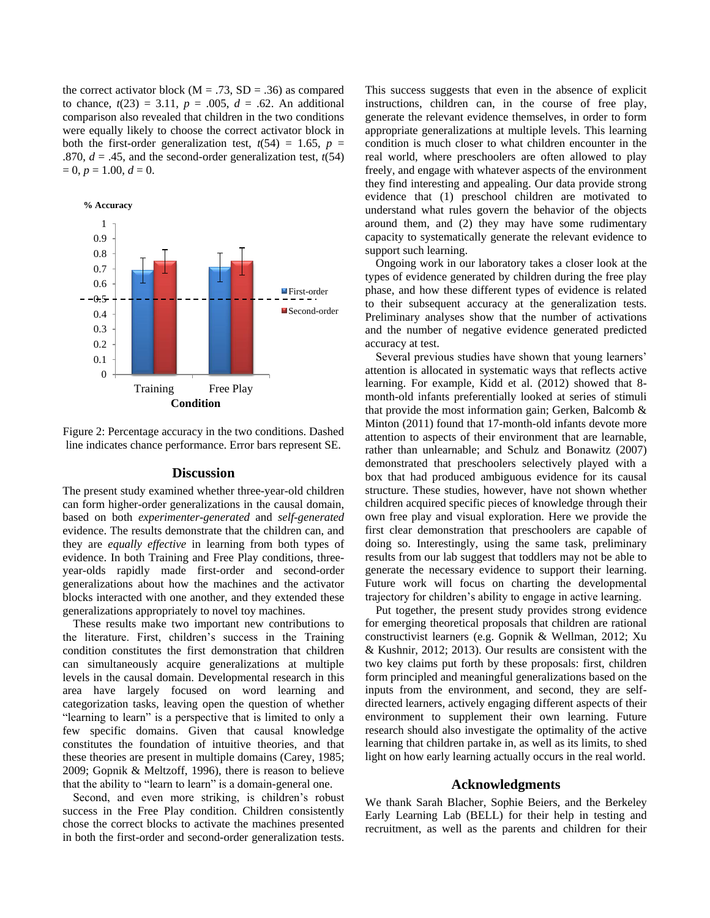the correct activator block ( $M = .73$ ,  $SD = .36$ ) as compared to chance,  $t(23) = 3.11$ ,  $p = .005$ ,  $d = .62$ . An additional comparison also revealed that children in the two conditions were equally likely to choose the correct activator block in both the first-order generalization test,  $t(54) = 1.65$ ,  $p =$ .870,  $d = .45$ , and the second-order generalization test,  $t(54)$  $= 0, p = 1.00, d = 0.$ 



Figure 2: Percentage accuracy in the two conditions. Dashed line indicates chance performance. Error bars represent SE.

#### **Discussion**

The present study examined whether three-year-old children can form higher-order generalizations in the causal domain, based on both *experimenter-generated* and *self-generated* evidence. The results demonstrate that the children can, and they are *equally effective* in learning from both types of evidence. In both Training and Free Play conditions, threeyear-olds rapidly made first-order and second-order generalizations about how the machines and the activator blocks interacted with one another, and they extended these generalizations appropriately to novel toy machines.

These results make two important new contributions to the literature. First, children's success in the Training condition constitutes the first demonstration that children can simultaneously acquire generalizations at multiple levels in the causal domain. Developmental research in this area have largely focused on word learning and categorization tasks, leaving open the question of whether "learning to learn" is a perspective that is limited to only a few specific domains. Given that causal knowledge constitutes the foundation of intuitive theories, and that these theories are present in multiple domains (Carey, 1985; 2009; Gopnik & Meltzoff, 1996), there is reason to believe that the ability to "learn to learn" is a domain-general one.

Second, and even more striking, is children's robust success in the Free Play condition. Children consistently chose the correct blocks to activate the machines presented in both the first-order and second-order generalization tests.

This success suggests that even in the absence of explicit instructions, children can, in the course of free play, generate the relevant evidence themselves, in order to form appropriate generalizations at multiple levels. This learning condition is much closer to what children encounter in the real world, where preschoolers are often allowed to play freely, and engage with whatever aspects of the environment they find interesting and appealing. Our data provide strong evidence that (1) preschool children are motivated to understand what rules govern the behavior of the objects around them, and (2) they may have some rudimentary capacity to systematically generate the relevant evidence to support such learning.

Ongoing work in our laboratory takes a closer look at the types of evidence generated by children during the free play phase, and how these different types of evidence is related to their subsequent accuracy at the generalization tests. Preliminary analyses show that the number of activations and the number of negative evidence generated predicted accuracy at test.

Several previous studies have shown that young learners' attention is allocated in systematic ways that reflects active learning. For example, Kidd et al. (2012) showed that 8 month-old infants preferentially looked at series of stimuli that provide the most information gain; Gerken, Balcomb & Minton (2011) found that 17-month-old infants devote more attention to aspects of their environment that are learnable, rather than unlearnable; and Schulz and Bonawitz (2007) demonstrated that preschoolers selectively played with a box that had produced ambiguous evidence for its causal structure. These studies, however, have not shown whether children acquired specific pieces of knowledge through their own free play and visual exploration. Here we provide the first clear demonstration that preschoolers are capable of doing so. Interestingly, using the same task, preliminary results from our lab suggest that toddlers may not be able to generate the necessary evidence to support their learning. Future work will focus on charting the developmental trajectory for children's ability to engage in active learning.

Put together, the present study provides strong evidence for emerging theoretical proposals that children are rational constructivist learners (e.g. Gopnik & Wellman, 2012; Xu & Kushnir, 2012; 2013). Our results are consistent with the two key claims put forth by these proposals: first, children form principled and meaningful generalizations based on the inputs from the environment, and second, they are selfdirected learners, actively engaging different aspects of their environment to supplement their own learning. Future research should also investigate the optimality of the active learning that children partake in, as well as its limits, to shed light on how early learning actually occurs in the real world.

#### **Acknowledgments**

We thank Sarah Blacher, Sophie Beiers, and the Berkeley Early Learning Lab (BELL) for their help in testing and recruitment, as well as the parents and children for their